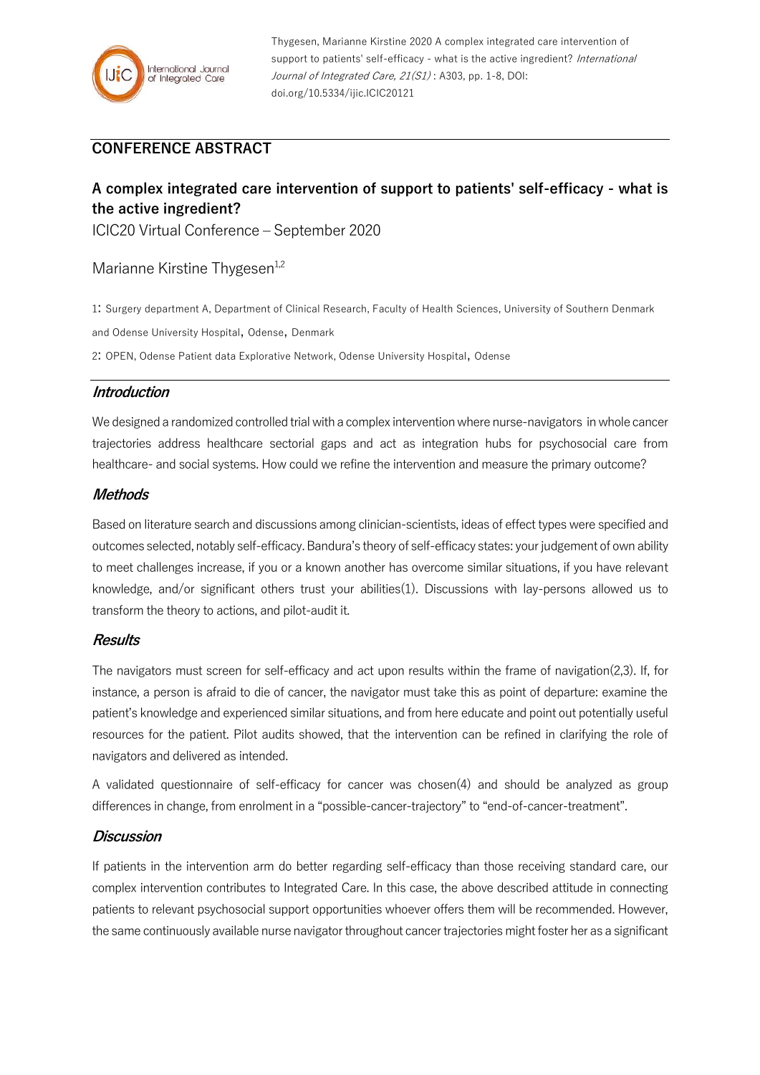

Thygesen, Marianne Kirstine 2020 A complex integrated care intervention of support to patients' self-efficacy - what is the active ingredient? International Journal of Integrated Care, 21(S1): A303, pp. 1-8, DOI: doi.org/10.5334/ijic.ICIC20121

## **CONFERENCE ABSTRACT**

# **A complex integrated care intervention of support to patients' self-efficacy - what is the active ingredient?**

ICIC20 Virtual Conference – September 2020

## Marianne Kirstine Thygesen<sup>1,2</sup>

1: Surgery department A, Department of Clinical Research, Faculty of Health Sciences, University of Southern Denmark

and Odense University Hospital, Odense, Denmark

2: OPEN, Odense Patient data Explorative Network, Odense University Hospital, Odense

## **Introduction**

We designed a randomized controlled trial with a complex intervention where nurse-navigators in whole cancer trajectories address healthcare sectorial gaps and act as integration hubs for psychosocial care from healthcare- and social systems. How could we refine the intervention and measure the primary outcome?

#### **Methods**

Based on literature search and discussions among clinician-scientists, ideas of effect types were specified and outcomes selected, notably self-efficacy. Bandura's theory of self-efficacy states: your judgement of own ability to meet challenges increase, if you or a known another has overcome similar situations, if you have relevant knowledge, and/or significant others trust your abilities(1). Discussions with lay-persons allowed us to transform the theory to actions, and pilot-audit it.

#### **Results**

The navigators must screen for self-efficacy and act upon results within the frame of navigation(2,3). If, for instance, a person is afraid to die of cancer, the navigator must take this as point of departure: examine the patient's knowledge and experienced similar situations, and from here educate and point out potentially useful resources for the patient. Pilot audits showed, that the intervention can be refined in clarifying the role of navigators and delivered as intended.

A validated questionnaire of self-efficacy for cancer was chosen(4) and should be analyzed as group differences in change, from enrolment in a "possible-cancer-trajectory" to "end-of-cancer-treatment".

#### **Discussion**

If patients in the intervention arm do better regarding self-efficacy than those receiving standard care, our complex intervention contributes to Integrated Care. In this case, the above described attitude in connecting patients to relevant psychosocial support opportunities whoever offers them will be recommended. However, the same continuously available nurse navigator throughout cancer trajectories might foster her as a significant